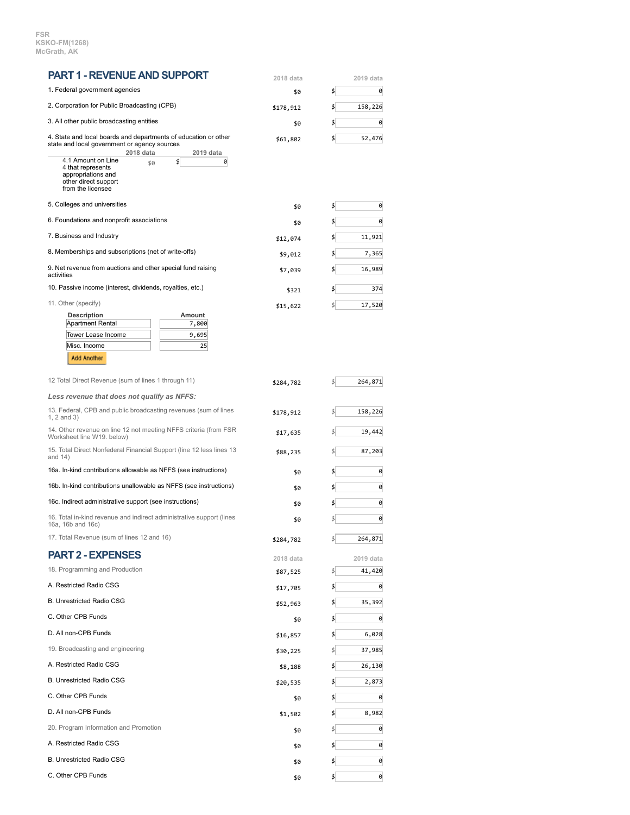**FSR KSKO-FM(1268) McGrath, AK**

| <b>PART 1 - REVENUE AND SUPPORT</b>                                                                                                                    | 2018 data            | 2019 data      |
|--------------------------------------------------------------------------------------------------------------------------------------------------------|----------------------|----------------|
| 1. Federal government agencies                                                                                                                         | \$0                  | \$<br>0        |
| 2. Corporation for Public Broadcasting (CPB)                                                                                                           | \$178,912            | \$<br>158,226  |
| 3. All other public broadcasting entities                                                                                                              | \$0                  | \$<br>0        |
| 4. State and local boards and departments of education or other<br>state and local government or agency sources                                        | \$61,802             | \$<br>52,476   |
| 2018 data<br>2019 data<br>4.1 Amount on Line<br>\$<br>0<br>\$0<br>4 that represents<br>appropriations and<br>other direct support<br>from the licensee |                      |                |
| 5. Colleges and universities                                                                                                                           | \$0                  | \$<br>0        |
| 6. Foundations and nonprofit associations                                                                                                              | \$0                  | \$<br>0        |
| 7. Business and Industry                                                                                                                               | \$12,074             | \$<br>11,921   |
| 8. Memberships and subscriptions (net of write-offs)                                                                                                   | \$9,012              | \$<br>7,365    |
| 9. Net revenue from auctions and other special fund raising<br>activities                                                                              | \$7,039              | \$<br>16,989   |
| 10. Passive income (interest, dividends, royalties, etc.)                                                                                              | \$321                | \$<br>374      |
| 11. Other (specify)                                                                                                                                    | \$15,622             | \$ <br>17,520  |
| <b>Description</b><br>Amount<br><b>Apartment Rental</b><br>7,800                                                                                       |                      |                |
| Tower Lease Income<br>9,695                                                                                                                            |                      |                |
| Misc. Income<br>25                                                                                                                                     |                      |                |
| <b>Add Another</b>                                                                                                                                     |                      |                |
| 12 Total Direct Revenue (sum of lines 1 through 11)                                                                                                    | \$284,782            | \$ <br>264,871 |
| Less revenue that does not qualify as NFFS:                                                                                                            |                      |                |
| 13. Federal, CPB and public broadcasting revenues (sum of lines<br>1, 2 and 3)                                                                         | \$178,912            | \$<br>158,226  |
| 14. Other revenue on line 12 not meeting NFFS criteria (from FSR<br>Worksheet line W19. below)                                                         | \$17,635<br>\$88,235 | \$<br>19,442   |
| 15. Total Direct Nonfederal Financial Support (line 12 less lines 13<br>and $14)$                                                                      |                      | \$<br>87,203   |
| 16a. In-kind contributions allowable as NFFS (see instructions)                                                                                        | \$0                  | \$<br>0        |
| 16b. In-kind contributions unallowable as NFFS (see instructions)                                                                                      | \$0                  | \$<br>0        |
| 16c. Indirect administrative support (see instructions)                                                                                                | \$0                  | 0<br>\$        |
| 16. Total in-kind revenue and indirect administrative support (lines<br>16a, 16b and 16c)                                                              | \$0                  | \$<br>0        |
| 17. Total Revenue (sum of lines 12 and 16)                                                                                                             | \$284,782            | \$<br>264,871  |
| <b>PART 2 - EXPENSES</b>                                                                                                                               | 2018 data            | 2019 data      |
| 18. Programming and Production                                                                                                                         | \$87,525             | \$ <br>41,420  |
| A. Restricted Radio CSG                                                                                                                                | \$17,705             | \$<br>0        |
| B. Unrestricted Radio CSG                                                                                                                              | \$52,963             | \$<br>35,392   |
| C. Other CPB Funds                                                                                                                                     | \$0                  | \$<br>0        |
| D. All non-CPB Funds                                                                                                                                   | \$16,857             | \$<br>6,028    |
| 19. Broadcasting and engineering                                                                                                                       | \$30,225             | \$ <br>37,985  |
| A. Restricted Radio CSG                                                                                                                                | \$8,188              | \$<br>26,130   |
| B. Unrestricted Radio CSG                                                                                                                              | \$20,535             | 2,873<br>\$    |
| C. Other CPB Funds                                                                                                                                     | \$0                  | \$<br>0        |
| D. All non-CPB Funds                                                                                                                                   |                      | \$<br>8,982    |
| 20. Program Information and Promotion                                                                                                                  | \$1,502              | \$ <br>0       |
| A. Restricted Radio CSG                                                                                                                                | \$0                  | \$<br>0        |
| B. Unrestricted Radio CSG                                                                                                                              | \$0                  |                |
| C. Other CPB Funds                                                                                                                                     | \$0                  | \$<br>0        |
|                                                                                                                                                        | \$0                  | \$<br>0        |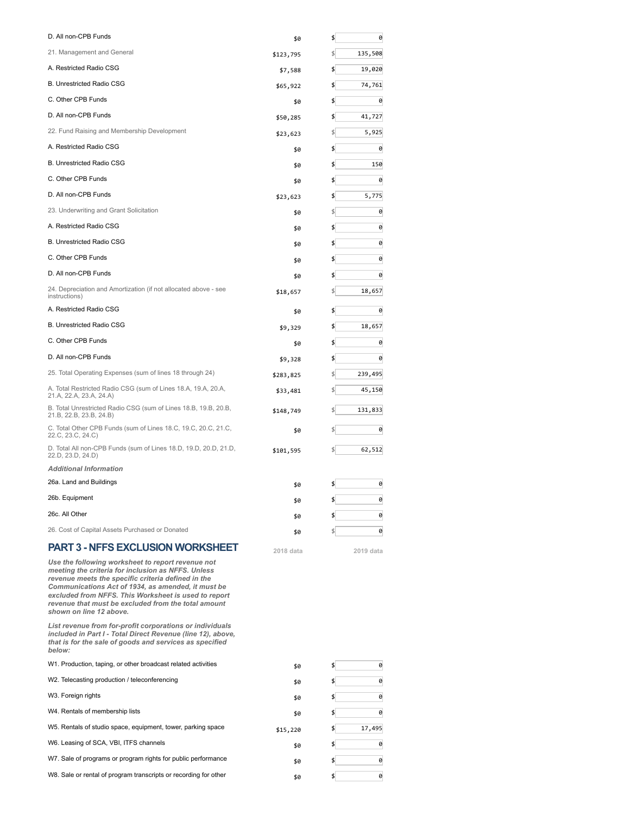| D. All non-CPB Funds                                                                                                                                                                                                                                                                                                                                          | \$0       | \$<br>0       |
|---------------------------------------------------------------------------------------------------------------------------------------------------------------------------------------------------------------------------------------------------------------------------------------------------------------------------------------------------------------|-----------|---------------|
| 21. Management and General                                                                                                                                                                                                                                                                                                                                    | \$123,795 | 135,508<br>\$ |
| A. Restricted Radio CSG                                                                                                                                                                                                                                                                                                                                       | \$7,588   | \$<br>19,020  |
| <b>B. Unrestricted Radio CSG</b>                                                                                                                                                                                                                                                                                                                              | \$65,922  | \$<br>74,761  |
| C. Other CPB Funds                                                                                                                                                                                                                                                                                                                                            | \$0       | \$<br>0       |
| D. All non-CPB Funds                                                                                                                                                                                                                                                                                                                                          | \$50,285  | \$<br>41,727  |
| 22. Fund Raising and Membership Development                                                                                                                                                                                                                                                                                                                   | \$23,623  | 5,925         |
| A. Restricted Radio CSG                                                                                                                                                                                                                                                                                                                                       | \$0       | \$<br>0       |
| <b>B. Unrestricted Radio CSG</b>                                                                                                                                                                                                                                                                                                                              | \$0       | \$<br>150     |
| C. Other CPB Funds                                                                                                                                                                                                                                                                                                                                            | \$0       | \$<br>0       |
| D. All non-CPB Funds                                                                                                                                                                                                                                                                                                                                          | \$23,623  | \$<br>5,775   |
| 23. Underwriting and Grant Solicitation                                                                                                                                                                                                                                                                                                                       | \$0       | 0<br>\$       |
| A. Restricted Radio CSG                                                                                                                                                                                                                                                                                                                                       | \$0       | 0<br>\$       |
| <b>B. Unrestricted Radio CSG</b>                                                                                                                                                                                                                                                                                                                              | \$0       | \$<br>0       |
| C. Other CPB Funds                                                                                                                                                                                                                                                                                                                                            | \$0       | \$<br>0       |
| D. All non-CPB Funds                                                                                                                                                                                                                                                                                                                                          | \$0       | \$<br>0       |
| 24. Depreciation and Amortization (if not allocated above - see<br>instructions)                                                                                                                                                                                                                                                                              | \$18,657  | 18,657        |
| A. Restricted Radio CSG                                                                                                                                                                                                                                                                                                                                       | \$0       | \$<br>0       |
| B. Unrestricted Radio CSG                                                                                                                                                                                                                                                                                                                                     | \$9,329   | \$<br>18,657  |
| C. Other CPB Funds                                                                                                                                                                                                                                                                                                                                            | \$0       | \$<br>0       |
| D. All non-CPB Funds                                                                                                                                                                                                                                                                                                                                          | \$9,328   | \$<br>0       |
| 25. Total Operating Expenses (sum of lines 18 through 24)                                                                                                                                                                                                                                                                                                     | \$283,825 | 239,495<br>\$ |
| A. Total Restricted Radio CSG (sum of Lines 18.A, 19.A, 20.A,<br>21.A, 22.A, 23.A, 24.A)                                                                                                                                                                                                                                                                      | \$33,481  | 45,150        |
| B. Total Unrestricted Radio CSG (sum of Lines 18.B, 19.B, 20.B,<br>21.B, 22.B, 23.B, 24.B)                                                                                                                                                                                                                                                                    | \$148,749 | 131,833       |
| C. Total Other CPB Funds (sum of Lines 18.C, 19.C, 20.C, 21.C,<br>22.C, 23.C, 24.C)                                                                                                                                                                                                                                                                           | \$0       | 0             |
| D. Total All non-CPB Funds (sum of Lines 18.D, 19.D, 20.D, 21.D,<br>22.D, 23.D, 24.D)                                                                                                                                                                                                                                                                         | \$101,595 | 62,512        |
| <b>Additional Information</b>                                                                                                                                                                                                                                                                                                                                 |           |               |
| 26a. Land and Buildings                                                                                                                                                                                                                                                                                                                                       | \$0       | \$<br>0       |
| 26b. Equipment                                                                                                                                                                                                                                                                                                                                                | \$0       | \$<br>0       |
| 26c. All Other                                                                                                                                                                                                                                                                                                                                                | \$0       | 0<br>\$       |
| 26. Cost of Capital Assets Purchased or Donated                                                                                                                                                                                                                                                                                                               | \$0       | \$<br>0       |
| <b>PART 3 - NFFS EXCLUSION WORKSHEET</b>                                                                                                                                                                                                                                                                                                                      | 2018 data | 2019 data     |
| Use the following worksheet to report revenue not<br>meeting the criteria for inclusion as NFFS. Unless<br>revenue meets the specific criteria defined in the<br>Communications Act of 1934, as amended, it must be<br>excluded from NFFS. This Worksheet is used to report<br>revenue that must be excluded from the total amount<br>shown on line 12 above. |           |               |
| List revenue from for-profit corporations or individuals<br>included in Part I - Total Direct Revenue (line 12), above,<br>that is for the sale of goods and services as specified<br>below:                                                                                                                                                                  |           |               |
| W1. Production, taping, or other broadcast related activities                                                                                                                                                                                                                                                                                                 | \$0       | \$<br>0       |
| W2. Telecasting production / teleconferencing                                                                                                                                                                                                                                                                                                                 | \$0       | \$<br>0       |
| W3. Foreign rights                                                                                                                                                                                                                                                                                                                                            | \$0       | \$<br>0       |
| W4. Rentals of membership lists                                                                                                                                                                                                                                                                                                                               | \$0       | \$<br>0       |
| W5. Rentals of studio space, equipment, tower, parking space                                                                                                                                                                                                                                                                                                  | \$15,220  | 17,495<br>\$  |
| W6. Leasing of SCA, VBI, ITFS channels                                                                                                                                                                                                                                                                                                                        | \$0       | \$<br>0       |
| W7. Sale of programs or program rights for public performance                                                                                                                                                                                                                                                                                                 | \$0       | \$<br>0       |
| W8. Sale or rental of program transcripts or recording for other                                                                                                                                                                                                                                                                                              | \$0       | \$<br>0       |